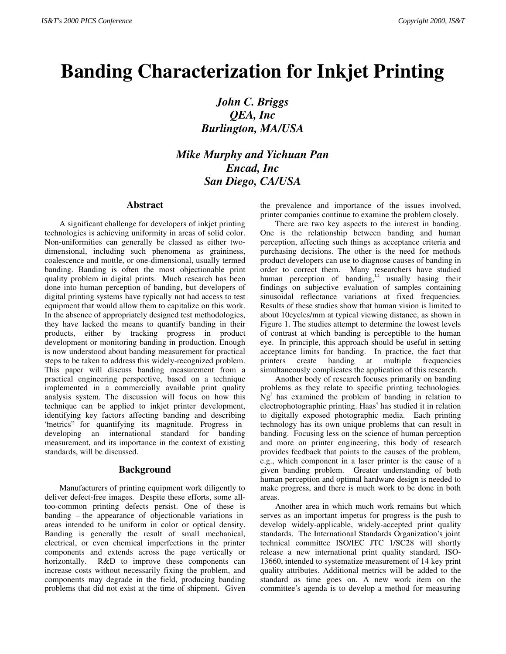# **Banding Characterization for Inkjet Printing**

*John C. Briggs QEA, Inc Burlington, MA/USA*

*Mike Murphy and Yichuan Pan Encad, Inc San Diego, CA/USA*

#### **Abstract**

A significant challenge for developers of inkjet printing technologies is achieving uniformity in areas of solid color. Non-uniformities can generally be classed as either twodimensional, including such phenomena as graininess, coalescence and mottle, or one-dimensional, usually termed banding. Banding is often the most objectionable print quality problem in digital prints. Much research has been done into human perception of banding, but developers of digital printing systems have typically not had access to test equipment that would allow them to capitalize on this work. In the absence of appropriately designed test methodologies, they have lacked the means to quantify banding in their products, either by tracking progress in product development or monitoring banding in production. Enough is now understood about banding measurement for practical steps to be taken to address this widely-recognized problem. This paper will discuss banding measurement from a practical engineering perspective, based on a technique implemented in a commercially available print quality analysis system. The discussion will focus on how this technique can be applied to inkjet printer development, identifying key factors affecting banding and describing "metrics" for quantifying its magnitude. Progress in developing an international standard for banding measurement, and its importance in the context of existing standards, will be discussed.

## **Background**

Manufacturers of printing equipment work diligently to deliver defect-free images. Despite these efforts, some alltoo-common printing defects persist. One of these is banding – the appearance of objectionable variations in areas intended to be uniform in color or optical density. Banding is generally the result of small mechanical, electrical, or even chemical imperfections in the printer components and extends across the page vertically or horizontally. R&D to improve these components can increase costs without necessarily fixing the problem, and components may degrade in the field, producing banding problems that did not exist at the time of shipment. Given the prevalence and importance of the issues involved, printer companies continue to examine the problem closely.

There are two key aspects to the interest in banding. One is the relationship between banding and human perception, affecting such things as acceptance criteria and purchasing decisions. The other is the need for methods product developers can use to diagnose causes of banding in order to correct them. Many researchers have studied human perception of banding,<sup>1,2</sup> usually basing their findings on subjective evaluation of samples containing sinusoidal reflectance variations at fixed frequencies. Results of these studies show that human vision is limited to about 10cycles/mm at typical viewing distance, as shown in Figure 1. The studies attempt to determine the lowest levels of contrast at which banding is perceptible to the human eye. In principle, this approach should be useful in setting acceptance limits for banding. In practice, the fact that printers create banding at multiple frequencies simultaneously complicates the application of this research.

Another body of research focuses primarily on banding problems as they relate to specific printing technologies.  $Ng<sup>3</sup>$  has examined the problem of banding in relation to electrophotographic printing. Haas<sup>4</sup> has studied it in relation to digitally exposed photographic media. Each printing technology has its own unique problems that can result in banding. Focusing less on the science of human perception and more on printer engineering, this body of research provides feedback that points to the causes of the problem, e.g., which component in a laser printer is the cause of a given banding problem. Greater understanding of both human perception and optimal hardware design is needed to make progress, and there is much work to be done in both areas.

Another area in which much work remains but which serves as an important impetus for progress is the push to develop widely-applicable, widely-accepted print quality standards. The International Standards Organization's joint technical committee ISO/IEC JTC 1/SC28 will shortly release a new international print quality standard, ISO-13660, intended to systematize measurement of 14 key print quality attributes. Additional metrics will be added to the standard as time goes on. A new work item on the committee's agenda is to develop a method for measuring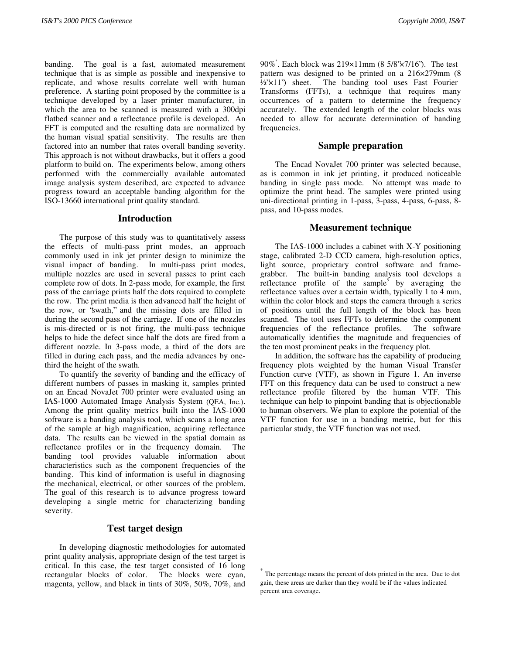banding. The goal is a fast, automated measurement technique that is as simple as possible and inexpensive to replicate, and whose results correlate well with human preference. A starting point proposed by the committee is a technique developed by a laser printer manufacturer, in which the area to be scanned is measured with a 300dpi flatbed scanner and a reflectance profile is developed. An FFT is computed and the resulting data are normalized by the human visual spatial sensitivity. The results are then factored into an number that rates overall banding severity. This approach is not without drawbacks, but it offers a good platform to build on. The experiments below, among others performed with the commercially available automated image analysis system described, are expected to advance progress toward an acceptable banding algorithm for the ISO-13660 international print quality standard.

## **Introduction**

The purpose of this study was to quantitatively assess the effects of multi-pass print modes, an approach commonly used in ink jet printer design to minimize the visual impact of banding. In multi-pass print modes, multiple nozzles are used in several passes to print each complete row of dots. In 2-pass mode, for example, the first pass of the carriage prints half the dots required to complete the row. The print media is then advanced half the height of the row, or "swath," and the missing dots are filled in during the second pass of the carriage. If one of the nozzles is mis-directed or is not firing, the multi-pass technique helps to hide the defect since half the dots are fired from a different nozzle. In 3-pass mode, a third of the dots are filled in during each pass, and the media advances by onethird the height of the swath.

To quantify the severity of banding and the efficacy of different numbers of passes in masking it, samples printed on an Encad NovaJet 700 printer were evaluated using an IAS-1000 Automated Image Analysis System (QEA, Inc.). Among the print quality metrics built into the IAS-1000 software is a banding analysis tool, which scans a long area of the sample at high magnification, acquiring reflectance data. The results can be viewed in the spatial domain as reflectance profiles or in the frequency domain. The banding tool provides valuable information about characteristics such as the component frequencies of the banding. This kind of information is useful in diagnosing the mechanical, electrical, or other sources of the problem. The goal of this research is to advance progress toward developing a single metric for characterizing banding severity.

# **Test target design**

In developing diagnostic methodologies for automated print quality analysis, appropriate design of the test target is critical. In this case, the test target consisted of 16 long rectangular blocks of color. The blocks were cyan, magenta, yellow, and black in tints of 30%, 50%, 70%, and

90%\* . Each block was 219×11mm (8 5/8"×7/16"). The test pattern was designed to be printed on a 216×279mm (8 ½"×11") sheet. The banding tool uses Fast Fourier Transforms (FFTs), a technique that requires many occurrences of a pattern to determine the frequency accurately. The extended length of the color blocks was needed to allow for accurate determination of banding frequencies.

## **Sample preparation**

The Encad NovaJet 700 printer was selected because, as is common in ink jet printing, it produced noticeable banding in single pass mode. No attempt was made to optimize the print head. The samples were printed using uni-directional printing in 1-pass, 3-pass, 4-pass, 6-pass, 8 pass, and 10-pass modes.

## **Measurement technique**

The IAS-1000 includes a cabinet with X-Y positioning stage, calibrated 2-D CCD camera, high-resolution optics, light source, proprietary control software and framegrabber. The built-in banding analysis tool develops a reflectance profile of the sample<sup>5</sup> by averaging the reflectance values over a certain width, typically 1 to 4 mm, within the color block and steps the camera through a series of positions until the full length of the block has been scanned. The tool uses FFTs to determine the component frequencies of the reflectance profiles. The software automatically identifies the magnitude and frequencies of the ten most prominent peaks in the frequency plot.

In addition, the software has the capability of producing frequency plots weighted by the human Visual Transfer Function curve (VTF), as shown in Figure 1. An inverse FFT on this frequency data can be used to construct a new reflectance profile filtered by the human VTF. This technique can help to pinpoint banding that is objectionable to human observers. We plan to explore the potential of the VTF function for use in a banding metric, but for this particular study, the VTF function was not used.

The percentage means the percent of dots printed in the area. Due to dot gain, these areas are darker than they would be if the values indicated percent area coverage.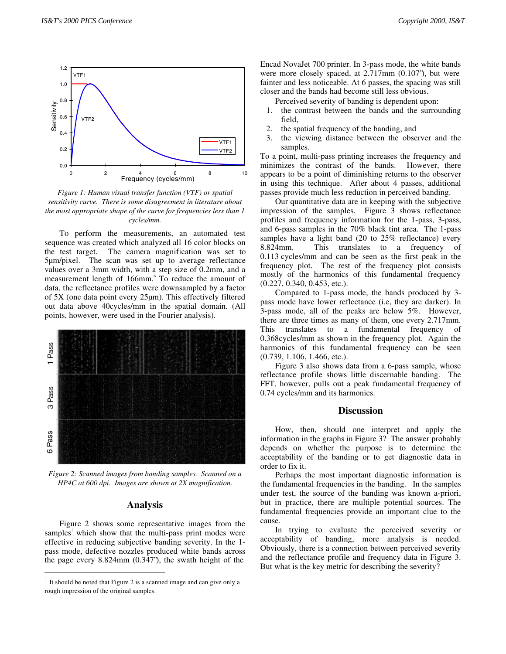

*Figure 1: Human visual transfer function (VTF) or spatial sensitivity curve. There is some disagreement in literature about the most appropriate shape of the curve for frequencies less than 1 cycles/mm.*

To perform the measurements, an automated test sequence was created which analyzed all 16 color blocks on the test target. The camera magnification was set to 5µm/pixel. The scan was set up to average reflectance values over a 3mm width, with a step size of 0.2mm, and a measurement length of 166mm.<sup>6</sup> To reduce the amount of data, the reflectance profiles were downsampled by a factor of 5X (one data point every 25µm). This effectively filtered out data above 40cycles/mm in the spatial domain. (All points, however, were used in the Fourier analysis).



*Figure 2: Scanned images from banding samples. Scanned on a HP4C at 600 dpi. Images are shown at 2X magnification.*

## **Analysis**

Figure 2 shows some representative images from the samples<sup>†</sup> which show that the multi-pass print modes were effective in reducing subjective banding severity. In the 1 pass mode, defective nozzles produced white bands across the page every 8.824mm (0.347"), the swath height of the

Encad NovaJet 700 printer. In 3-pass mode, the white bands were more closely spaced, at 2.717mm (0.107"), but were fainter and less noticeable. At 6 passes, the spacing was still closer and the bands had become still less obvious.

Perceived severity of banding is dependent upon:

- 1. the contrast between the bands and the surrounding field,
- 2. the spatial frequency of the banding, and
- 3. the viewing distance between the observer and the samples.

To a point, multi-pass printing increases the frequency and minimizes the contrast of the bands. However, there appears to be a point of diminishing returns to the observer in using this technique. After about 4 passes, additional passes provide much less reduction in perceived banding.

Our quantitative data are in keeping with the subjective impression of the samples. Figure 3 shows reflectance profiles and frequency information for the 1-pass, 3-pass, and 6-pass samples in the 70% black tint area. The 1-pass samples have a light band (20 to 25% reflectance) every 8.824mm. This translates to a frequency of 0.113 cycles/mm and can be seen as the first peak in the frequency plot. The rest of the frequency plot consists mostly of the harmonics of this fundamental frequency (0.227, 0.340, 0.453, etc.).

Compared to 1-pass mode, the bands produced by 3 pass mode have lower reflectance (i.e, they are darker). In 3-pass mode, all of the peaks are below 5%. However, there are three times as many of them, one every 2.717mm. This translates to a fundamental frequency of 0.368cycles/mm as shown in the frequency plot. Again the harmonics of this fundamental frequency can be seen (0.739, 1.106, 1.466, etc.).

Figure 3 also shows data from a 6-pass sample, whose reflectance profile shows little discernable banding. The FFT, however, pulls out a peak fundamental frequency of 0.74 cycles/mm and its harmonics.

#### **Discussion**

How, then, should one interpret and apply the information in the graphs in Figure 3? The answer probably depends on whether the purpose is to determine the acceptability of the banding or to get diagnostic data in order to fix it.

Perhaps the most important diagnostic information is the fundamental frequencies in the banding. In the samples under test, the source of the banding was known a-priori, but in practice, there are multiple potential sources. The fundamental frequencies provide an important clue to the cause.

In trying to evaluate the perceived severity or acceptability of banding, more analysis is needed. Obviously, there is a connection between perceived severity and the reflectance profile and frequency data in Figure 3. But what is the key metric for describing the severity?

 <sup>†</sup> It should be noted that Figure 2 is a scanned image and can give only a rough impression of the original samples.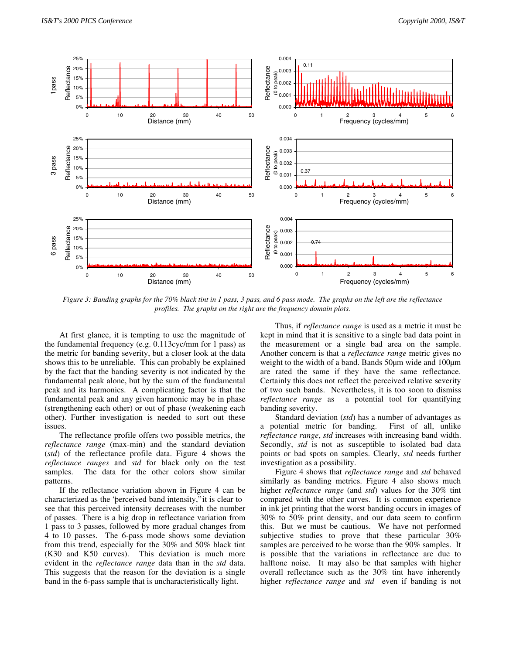

*Figure 3: Banding graphs for the 70% black tint in 1 pass, 3 pass, and 6 pass mode. The graphs on the left are the reflectance profiles. The graphs on the right are the frequency domain plots.*

At first glance, it is tempting to use the magnitude of the fundamental frequency (e.g. 0.113cyc/mm for 1 pass) as the metric for banding severity, but a closer look at the data shows this to be unreliable. This can probably be explained by the fact that the banding severity is not indicated by the fundamental peak alone, but by the sum of the fundamental peak and its harmonics. A complicating factor is that the fundamental peak and any given harmonic may be in phase (strengthening each other) or out of phase (weakening each other). Further investigation is needed to sort out these issues.

The reflectance profile offers two possible metrics, the *reflectance range* (max-min) and the standard deviation (*std*) of the reflectance profile data. Figure 4 shows the *reflectance ranges* and *std* for black only on the test samples. The data for the other colors show similar patterns.

If the reflectance variation shown in Figure 4 can be characterized as the "perceived band intensity," it is clear to see that this perceived intensity decreases with the number of passes. There is a big drop in reflectance variation from 1 pass to 3 passes, followed by more gradual changes from 4 to 10 passes. The 6-pass mode shows some deviation from this trend, especially for the 30% and 50% black tint (K30 and K50 curves). This deviation is much more evident in the *reflectance range* data than in the *std* data. This suggests that the reason for the deviation is a single band in the 6-pass sample that is uncharacteristically light.

Thus, if *reflectance range* is used as a metric it must be kept in mind that it is sensitive to a single bad data point in the measurement or a single bad area on the sample. Another concern is that a *reflectance range* metric gives no weight to the width of a band. Bands 50µm wide and 100µm are rated the same if they have the same reflectance. Certainly this does not reflect the perceived relative severity of two such bands. Nevertheless, it is too soon to dismiss *reflectance range* as a potential tool for quantifying banding severity.

Standard deviation (*std*) has a number of advantages as a potential metric for banding. First of all, unlike *reflectance range*, *std* increases with increasing band width. Secondly, *std* is not as susceptible to isolated bad data points or bad spots on samples. Clearly, *std* needs further investigation as a possibility.

Figure 4 shows that *reflectance range* and *std* behaved similarly as banding metrics. Figure 4 also shows much higher *reflectance range* (and *std*) values for the 30% tint compared with the other curves. It is common experience in ink jet printing that the worst banding occurs in images of 30% to 50% print density, and our data seem to confirm this. But we must be cautious. We have not performed subjective studies to prove that these particular 30% samples are perceived to be worse than the 90% samples. It is possible that the variations in reflectance are due to halftone noise. It may also be that samples with higher overall reflectance such as the 30% tint have inherently higher *reflectance range* and *std* even if banding is not